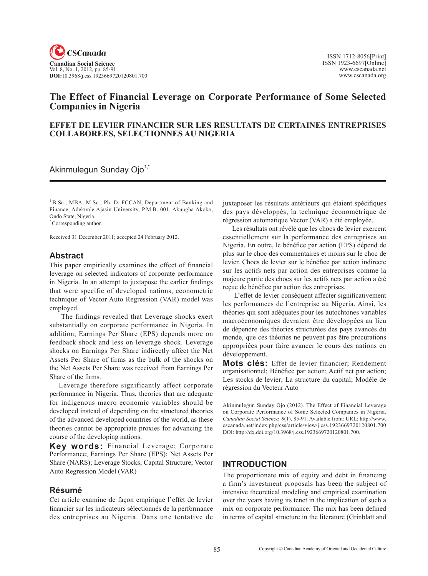

# **The Effect of Financial Leverage on Corporate Performance of Some Selected Companies in Nigeria**

## **EFFET DE LEVIER FINANCIER SUR LES RESULTATS DE CERTAINES ENTREPRISES COLLABOREES, SELECTIONNES AU NIGERIA**

Akinmulegun Sunday Ojo<sup>1,\*</sup>

**<sup>1</sup>**B.Sc., MBA, M.Sc., Ph. D, FCCAN, Department of Banking and Finance, Adekunle Ajasin University, P.M.B. 001. Akungba Akoko, Ondo State, Nigeria.

\* Corresponding author.

Received 31 December 2011; accepted 24 February 2012.

## **Abstract**

This paper empirically examines the effect of financial leverage on selected indicators of corporate performance in Nigeria. In an attempt to juxtapose the earlier findings that were specific of developed nations, econometric technique of Vector Auto Regression (VAR) model was employed.

 The findings revealed that Leverage shocks exert substantially on corporate performance in Nigeria. In addition, Earnings Per Share (EPS) depends more on feedback shock and less on leverage shock. Leverage shocks on Earnings Per Share indirectly affect the Net Assets Per Share of firms as the bulk of the shocks on the Net Assets Per Share was received from Earnings Per Share of the firms.

Leverage therefore significantly affect corporate performance in Nigeria. Thus, theories that are adequate for indigenous macro economic variables should be developed instead of depending on the structured theories of the advanced developed countries of the world, as these theories cannot be appropriate proxies for advancing the course of the developing nations.

**Key words:** Financial Leverage; Corporate Performance; Earnings Per Share (EPS); Net Assets Per Share (NARS); Leverage Stocks; Capital Structure; Vector Auto Regression Model (VAR)

## **Résumé**

Cet article examine de façon empirique l'effet de levier financier sur les indicateurs sélectionnés de la performance des entreprises au Nigeria. Dans une tentative de juxtaposer les résultats antérieurs qui étaient spécifiques des pays développés, la technique économétrique de régression automatique Vector (VAR) a été employée.

Les résultats ont révélé que les chocs de levier exercent essentiellement sur la performance des entreprises au Nigeria. En outre, le bénéfice par action (EPS) dépend de plus sur le choc des commentaires et moins sur le choc de levier. Chocs de levier sur le bénéfice par action indirecte sur les actifs nets par action des entreprises comme la majeure partie des chocs sur les actifs nets par action a été reçue de bénéfice par action des entreprises.

 L'effet de levier conséquent affecter significativement les performances de l'entreprise au Nigeria. Ainsi, les théories qui sont adéquates pour les autochtones variables macroéconomiques devraient être développées au lieu de dépendre des théories structurées des pays avancés du monde, que ces théories ne peuvent pas être procurations appropriées pour faire avancer le cours des nations en développement.

**Mots clés:** Effet de levier financier; Rendement organisationnel; Bénéfice par action; Actif net par action; Les stocks de levier; La structure du capital; Modèle de régression du Vecteur Auto

Akinmulegun Sunday Ojo (2012). The Effect of Financial Leverage on Corporate Performance of Some Selected Companies in Nigeria. *Canadian Social Science*, <sup>8</sup>(1), 85-91. Available from: URL: http://www. cscanada.net/index.php/css/article/view/j.css.1923669720120801.700 DOI: http://dx.doi.org/10.3968/j.css.1923669720120801.700.

# **INTRODUCTION**

The proportionate mix of equity and debt in financing a firm's investment proposals has been the subject of intensive theoretical modeling and empirical examination over the years having its tenet in the implication of such a mix on corporate performance. The mix has been defined in terms of capital structure in the literature (Grinblatt and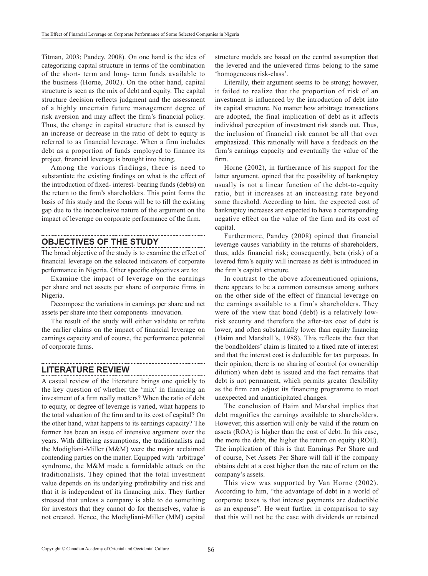Titman, 2003; Pandey, 2008). On one hand is the idea of categorizing capital structure in terms of the combination of the short- term and long- term funds available to the business (Horne, 2002). On the other hand, capital structure is seen as the mix of debt and equity. The capital structure decision reflects judgment and the assessment of a highly uncertain future management degree of risk aversion and may affect the firm's financial policy. Thus, the change in capital structure that is caused by an increase or decrease in the ratio of debt to equity is referred to as financial leverage. When a firm includes debt as a proportion of funds employed to finance its project, financial leverage is brought into being.

Among the various findings, there is need to substantiate the existing findings on what is the effect of the introduction of fixed- interest- bearing funds (debts) on the return to the firm's shareholders. This point forms the basis of this study and the focus will be to fill the existing gap due to the inconclusive nature of the argument on the impact of leverage on corporate performance of the firm.

# **OBJECTIVES OF THE STUDY**

The broad objective of the study is to examine the effect of financial leverage on the selected indicators of corporate performance in Nigeria. Other specific objectives are to:

Examine the impact of leverage on the earnings per share and net assets per share of corporate firms in Nigeria.

Decompose the variations in earnings per share and net assets per share into their components innovation.

The result of the study will either validate or refute the earlier claims on the impact of financial leverage on earnings capacity and of course, the performance potential of corporate firms.

## **LITERATURE REVIEW**

A casual review of the literature brings one quickly to the key question of whether the 'mix' in financing an investment of a firm really matters? When the ratio of debt to equity, or degree of leverage is varied, what happens to the total valuation of the firm and to its cost of capital? On the other hand, what happens to its earnings capacity? The former has been an issue of intensive argument over the years. With differing assumptions, the traditionalists and the Modigliani-Miller (M&M) were the major acclaimed contending parties on the matter. Equipped with 'arbitrage' syndrome, the M&M made a formidable attack on the traditionalists. They opined that the total investment value depends on its underlying profitability and risk and that it is independent of its financing mix. They further stressed that unless a company is able to do something for investors that they cannot do for themselves, value is not created. Hence, the Modigliani-Miller (MM) capital structure models are based on the central assumption that the levered and the unlevered firms belong to the same 'homogeneous risk-class'.

Literally, their argument seems to be strong; however, it failed to realize that the proportion of risk of an investment is influenced by the introduction of debt into its capital structure. No matter how arbitrage transactions are adopted, the final implication of debt as it affects individual perception of investment risk stands out. Thus, the inclusion of financial risk cannot be all that over emphasized. This rationally will have a feedback on the firm's earnings capacity and eventually the value of the firm.

Horne (2002), in furtherance of his support for the latter argument, opined that the possibility of bankruptcy usually is not a linear function of the debt-to-equity ratio, but it increases at an increasing rate beyond some threshold. According to him, the expected cost of bankruptcy increases are expected to have a corresponding negative effect on the value of the firm and its cost of capital.

Furthermore, Pandey (2008) opined that financial leverage causes variability in the returns of shareholders, thus, adds financial risk; consequently, beta (risk) of a levered firm's equity will increase as debt is introduced in the firm's capital structure.

In contrast to the above aforementioned opinions, there appears to be a common consensus among authors on the other side of the effect of financial leverage on the earnings available to a firm's shareholders. They were of the view that bond (debt) is a relatively lowrisk security and therefore the after-tax cost of debt is lower, and often substantially lower than equity financing (Haim and Marshall's, 1988). This reflects the fact that the bondholders' claim is limited to a fixed rate of interest and that the interest cost is deductible for tax purposes. In their opinion, there is no sharing of control (or ownership dilution) when debt is issued and the fact remains that debt is not permanent, which permits greater flexibility as the firm can adjust its financing programme to meet unexpected and unanticipitated changes.

The conclusion of Haim and Marshal implies that debt magnifies the earnings available to shareholders. However, this assertion will only be valid if the return on assets (ROA) is higher than the cost of debt. In this case, the more the debt, the higher the return on equity (ROE). The implication of this is that Earnings Per Share and of course, Net Assets Per Share will fall if the company obtains debt at a cost higher than the rate of return on the company's assets.

This view was supported by Van Horne (2002). According to him, "the advantage of debt in a world of corporate taxes is that interest payments are deductible as an expense". He went further in comparison to say that this will not be the case with dividends or retained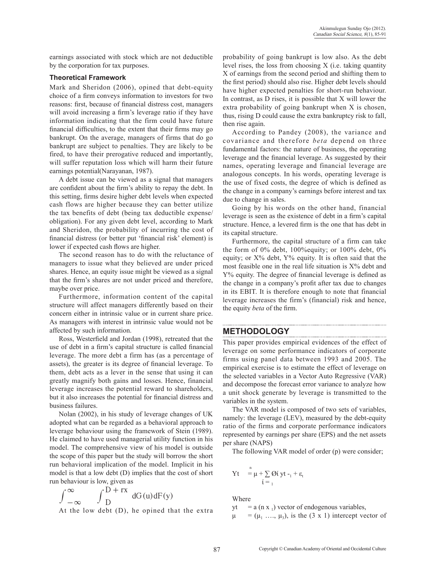earnings associated with stock which are not deductible by the corporation for tax purposes.

### **Theoretical Framework**

Mark and Sheridon (2006), opined that debt-equity choice of a firm conveys information to investors for two reasons: first, because of financial distress cost, managers will avoid increasing a firm's leverage ratio if they have information indicating that the firm could have future financial difficulties, to the extent that their firms may go bankrupt. On the average, managers of firms that do go bankrupt are subject to penalties. They are likely to be fired, to have their prerogative reduced and importantly, will suffer reputation loss which will harm their future earnings potential(Narayanan, 1987).

A debt issue can be viewed as a signal that managers are confident about the firm's ability to repay the debt. In this setting, firms desire higher debt levels when expected cash flows are higher because they can better utilize the tax benefits of debt (being tax deductible expense/ obligation). For any given debt level, according to Mark and Sheridon, the probability of incurring the cost of financial distress (or better put 'financial risk' element) is lower if expected cash flows are higher.

The second reason has to do with the reluctance of managers to issue what they believed are under priced shares. Hence, an equity issue might be viewed as a signal that the firm's shares are not under priced and therefore, maybe over price.

Furthermore, information content of the capital structure will affect managers differently based on their concern either in intrinsic value or in current share price. As managers with interest in intrinsic value would not be affected by such information.

Ross, Westerfield and Jordan (1998), retreated that the use of debt in a firm's capital structure is called financial leverage. The more debt a firm has (as a percentage of assets), the greater is its degree of financial leverage. To them, debt acts as a lever in the sense that using it can greatly magnify both gains and losses. Hence, financial leverage increases the potential reward to shareholders, but it also increases the potential for financial distress and business failures.

Nolan (2002), in his study of leverage changes of UK adopted what can be regarded as a behavioral approach to leverage behaviour using the framework of Stein (1989). He claimed to have used managerial utility function in his model. The comprehensive view of his model is outside the scope of this paper but the study will borrow the short run behavioral implication of the model. Implicit in his model is that a low debt (D) implies that the cost of short run behaviour is low, given as

$$
\int_{-\infty}^{\infty} \int_{D}^{D+rx} dG(u) dF(y)
$$

At the low debt (D), he opined that the extra

probability of going bankrupt is low also. As the debt level rises, the loss from choosing X (i.e. taking quantity X of earnings from the second period and shifting them to the first period) should also rise. Higher debt levels should have higher expected penalties for short-run behaviour. In contrast, as D rises, it is possible that X will lower the extra probability of going bankrupt when X is chosen, thus, rising D could cause the extra bankruptcy risk to fall, then rise again.

According to Pandey (2008), the variance and covariance and therefore *beta* depend on three fundamental factors: the nature of business, the operating leverage and the financial leverage. As suggested by their names, operating leverage and financial leverage are analogous concepts. In his words, operating leverage is the use of fixed costs, the degree of which is defined as the change in a company's earnings before interest and tax due to change in sales.

Going by his words on the other hand, financial leverage is seen as the existence of debt in a firm's capital structure. Hence, a levered firm is the one that has debt in its capital structure.

Furthermore, the capital structure of a firm can take the form of 0% debt, 100%equity; or 100% debt, 0% equity; or  $X\%$  debt,  $Y\%$  equity. It is often said that the most feasible one in the real life situation is  $X\%$  debt and Y% equity. The degree of financial leverage is defined as the change in a company's profit after tax due to changes in its EBIT. It is therefore enough to note that financial leverage increases the firm's (financial) risk and hence, the equity *beta* of the firm.

# **METHODOLOGY**

This paper provides empirical evidences of the effect of leverage on some performance indicators of corporate firms using panel data between 1993 and 2005. The empirical exercise is to estimate the effect of leverage on the selected variables in a Vector Auto Regressive (VAR) and decompose the forecast error variance to analyze how a unit shock generate by leverage is transmitted to the variables in the system.

The VAR model is composed of two sets of variables, namely: the leverage (LEV), measured by the debt-equity ratio of the firms and corporate performance indicators represented by earnings per share (EPS) and the net assets per share (NAPS)

The following VAR model of order (p) were consider;

$$
Yt = \mu + \sum_{i=1}^{n} \emptyset i \, yt - t + \epsilon_{t}
$$

Where  $yt =$  $= a$  (n x 1) vector of endogenous variables,

 $= (\mu_1 \ldots, \mu_3)$ , is the (3 x 1) intercept vector of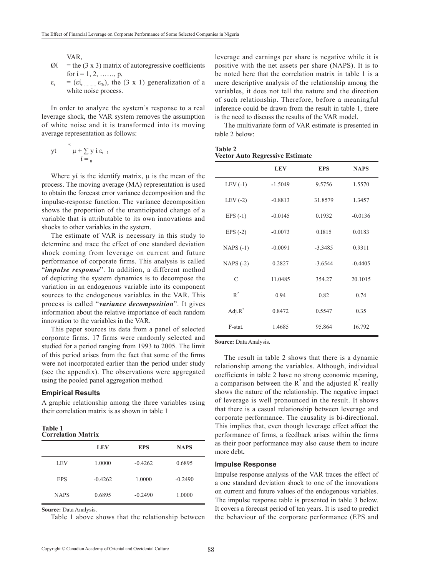VAR,

- $\varnothing$ ί = the (3 x 3) matrix of autoregressive coefficients for  $i = 1, 2, \ldots, p$ ,
- $\varepsilon_t$  = ( $\varepsilon$ <sup>t</sup><sub>t …</sub>……  $\varepsilon$ <sub>3t</sub>), the (3 x 1) generalization of a white noise process.

In order to analyze the system's response to a real leverage shock, the VAR system removes the assumption of white noise and it is transformed into its moving average representation as follows:

$$
yt = \mu + \sum_{i=0}^{\infty} y i \epsilon_{t-1}
$$

Where yi is the identify matrix,  $\mu$  is the mean of the process. The moving average (MA) representation is used to obtain the forecast error variance decomposition and the impulse-response function. The variance decomposition shows the proportion of the unanticipated change of a variable that is attributable to its own innovations and shocks to other variables in the system.

The estimate of VAR is necessary in this study to determine and trace the effect of one standard deviation shock coming from leverage on current and future performance of corporate firms. This analysis is called "*impulse response*". In addition, a different method of depicting the system dynamics is to decompose the variation in an endogenous variable into its component sources to the endogenous variables in the VAR. This process is called "*variance decomposition*". It gives information about the relative importance of each random innovation to the variables in the VAR.

This paper sources its data from a panel of selected corporate firms. 17 firms were randomly selected and studied for a period ranging from 1993 to 2005. The limit of this period arises from the fact that some of the firms were not incorporated earlier than the period under study (see the appendix). The observations were aggregated using the pooled panel aggregation method.

#### **Empirical Results**

A graphic relationship among the three variables using their correlation matrix is as shown in table 1

| <b>Table 1</b>            |  |
|---------------------------|--|
| <b>Correlation Matrix</b> |  |

|             | <b>LEV</b> | <b>EPS</b> | <b>NAPS</b> |
|-------------|------------|------------|-------------|
| LEV         | 1.0000     | $-0.4262$  | 0.6895      |
| <b>EPS</b>  | $-0.4262$  | 1.0000     | $-0.2490$   |
| <b>NAPS</b> | 0.6895     | $-0.2490$  | 1.0000      |

Source: Data Analysis.

Table 1 above shows that the relationship between

leverage and earnings per share is negative while it is positive with the net assets per share (NAPS). It is to be noted here that the correlation matrix in table 1 is a mere descriptive analysis of the relationship among the variables, it does not tell the nature and the direction of such relationship. Therefore, before a meaningful inference could be drawn from the result in table 1, there is the need to discuss the results of the VAR model.

The multivariate form of VAR estimate is presented in table 2 below:

| <b>Table 2</b>                         |  |
|----------------------------------------|--|
| <b>Vector Auto Regressive Estimate</b> |  |

|               | <b>LEV</b> | <b>EPS</b> | <b>NAPS</b> |
|---------------|------------|------------|-------------|
| LEV $(-1)$    | $-1.5049$  | 9.5756     | 1.5570      |
| LEV $(-2)$    | $-0.8813$  | 31.8579    | 1.3457      |
| $EPS(-1)$     | $-0.0145$  | 0.1932     | $-0.0136$   |
| EPS $(-2)$    | $-0.0073$  | 0.1815     | 0.0183      |
| $NAPS(-1)$    | $-0.0091$  | $-3.3485$  | 0.9311      |
| NAPS $(-2)$   | 0.2827     | $-3.6544$  | $-0.4405$   |
| $\mathcal{C}$ | 11.0485    | 354.27     | 20.1015     |
| $R^2$         | 0.94       | 0.82       | 0.74        |
| Adj. $R^2$    | 0.8472     | 0.5547     | 0.35        |
| F-stat.       | 1.4685     | 95.864     | 16.792      |

Source: Data Analysis.

The result in table 2 shows that there is a dynamic relationship among the variables. Although, individual coefficients in table 2 have no strong economic meaning, a comparison between the  $R^2$  and the adjusted  $R^2$  really shows the nature of the relationship. The negative impact of leverage is well pronounced in the result. It shows that there is a casual relationship between leverage and corporate performance. The causality is bi-directional. This implies that, even though leverage effect affect the performance of firms, a feedback arises within the firms as their poor performance may also cause them to incure more debt**.** 

#### **Impulse Response**

Impulse response analysis of the VAR traces the effect of a one standard deviation shock to one of the innovations on current and future values of the endogenous variables. The impulse response table is presented in table 3 below. It covers a forecast period of ten years. It is used to predict the behaviour of the corporate performance (EPS and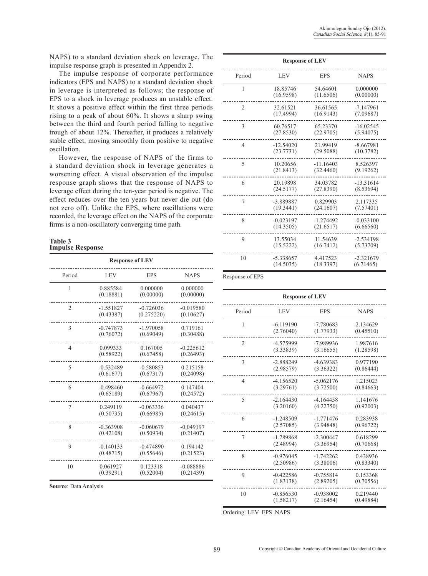NAPS) to a standard deviation shock on leverage. The impulse response graph is presented in Appendix 2.

The impulse response of corporate performance indicators (EPS and NAPS) to a standard deviation shock in leverage is interpreted as follows; the response of EPS to a shock in leverage produces an unstable effect. It shows a positive effect within the first three periods rising to a peak of about 60%. It shows a sharp swing between the third and fourth period falling to negative trough of about 12%. Thereafter, it produces a relatively stable effect, moving smoothly from positive to negative oscillation.

However, the response of NAPS of the firms to a standard deviation shock in leverage generates a worsening effect. A visual observation of the impulse response graph shows that the response of NAPS to leverage effect during the ten-year period is negative. The effect reduces over the ten years but never die out (do not zero off). Unlike the EPS, where oscillations were recorded, the leverage effect on the NAPS of the corporate firms is a non-oscillatory converging time path.

#### **Table 3 Impulse Response**

| <b>Response of LEV</b> |             |             |             |  |
|------------------------|-------------|-------------|-------------|--|
| Period                 | <b>LEV</b>  | <b>EPS</b>  | <b>NAPS</b> |  |
| 1                      | 0.885584    | 0.000000    | 0.000000    |  |
|                        | (0.18881)   | (0.00000)   | (0.00000)   |  |
| $\overline{2}$         | $-1.551827$ | $-0.726036$ | $-0.019580$ |  |
|                        | (0.43387)   | (0.275220)  | (0.10627)   |  |
| 3                      | $-0.747873$ | $-1.970058$ | 0.719161    |  |
|                        | (0.76072)   | (0.69049)   | (0.30488)   |  |
| $\overline{4}$         | 0.099333    | 0.167005    | $-0.225612$ |  |
|                        | (0.58922)   | (0.67458)   | (0.26493)   |  |
| 5                      | $-0.532489$ | $-0.580853$ | 0.215158    |  |
|                        | (0.61677)   | (0.67317)   | (0.24098)   |  |
| 6                      | $-0.498460$ | $-0.664972$ | 0.147404    |  |
|                        | (0.65189)   | (0.67967)   | (0.24572)   |  |
| $\overline{7}$         | 0.249119    | $-0.063336$ | 0.040437    |  |
|                        | (0.50735)   | (0.66985)   | (0.24615)   |  |
| 8                      | $-0.363908$ | $-0.060679$ | $-0.049197$ |  |
|                        | (0.42108)   | (0.50934)   | (0.21407)   |  |
| 9                      | $-0.140133$ | $-0.474890$ | 0.194142    |  |
|                        | (0.48715)   | (0.55646)   | (0.21523)   |  |
| 10                     | 0.061927    | 0.123318    | $-0.088886$ |  |
|                        | (0.39291)   | (0.52004)   | (0.21439)   |  |

**Source**: Data Analysis

| <b>Response of LEV</b> |             |             |             |
|------------------------|-------------|-------------|-------------|
| Period                 | <b>LEV</b>  | <b>EPS</b>  | <b>NAPS</b> |
| 1                      | 18.85746    | 54.64601    | 0.000000    |
|                        | (16.9598)   | (11.6506)   | (0.00000)   |
| $\overline{2}$         | 32.61521    | 36.61565    | $-7.147961$ |
|                        | (17.4994)   | (16.9143)   | (7.09687)   |
| 3                      | 60.76517    | 65.23370    | $-16.02545$ |
|                        | (27.8530)   | (22.9705)   | (5.94075)   |
| $\overline{4}$         | $-12.54020$ | 21.99419    | $-8.667981$ |
|                        | (23.7731)   | (29.5088)   | (10.3782)   |
| 5                      | 10.20656    | $-11.16403$ | 8.526397    |
|                        | (21.8413)   | (32.4460)   | (9.19262)   |
| 6                      | 20.19898    | 34.03782    | $-13.31614$ |
|                        | (24.5177)   | (27.8390)   | (8.53694)   |
| 7                      | -3.889887   | 0.829903    | 2.117335    |
|                        | (19.3441)   | (24.1607)   | (7.57401)   |
| 8                      | $-0.023197$ | $-1.274492$ | $-0.033100$ |
|                        | (14.3505)   | (21.6517)   | (6.66560)   |
| 9                      | 13.55034    | 11.54639    | $-2.534198$ |
|                        | (15.5222)   | (16.7412)   | (5.73709)   |
| 10                     | $-5.338657$ | 4.417523    | $-2.321679$ |
|                        | (14.5035)   | (18.3397)   | (6.71465)   |

Response of EPS

| <b>Response of LEV</b> |             |             |             |
|------------------------|-------------|-------------|-------------|
| Period                 | LEV         | <b>EPS</b>  | <b>NAPS</b> |
| 1                      | $-6.119190$ | -7.780683   | 2.134629    |
|                        | (2.76040)   | (1.77933)   | (0.45510)   |
| $\overline{2}$         | -4.575999   | -7.989936   | 1.987616    |
|                        | (3.33839)   | (3.16655)   | (1.28598)   |
| 3                      | $-2.888249$ | $-4.639383$ | 0.977190    |
|                        | (2.98579)   | (3.36322)   | (0.86444)   |
| $\overline{4}$         | $-4.156520$ | $-5.062176$ | 1.215023    |
|                        | (3.29761)   | (3.72500)   | (0.84663)   |
| 5                      | $-2.164430$ | $-4.164458$ | 1.141676    |
|                        | (3.20160)   | (4.22750)   | (0.92003)   |
| 6                      | $-1.248509$ | $-1.771476$ | 0.283938    |
|                        | (2.57085)   | (3.94848)   | (0.96722)   |
| $\overline{7}$         | $-1.789868$ | $-2.300447$ | 0.618299    |
|                        | (2.48994)   | (3.36954)   | (0.70668)   |
| 8                      | $-0.976045$ | $-1.742262$ | 0.438936    |
|                        | (2.50986)   | (3.38006)   | (0.83340)   |
| 9                      | $-0.422586$ | $-0.755814$ | 0.153368    |
|                        | (1.83138)   | (2.89205)   | (0.70556)   |
| 10                     | $-0.856530$ | $-0.938002$ | 0.219440    |
|                        | (1.58217)   | (2.16454)   | (0.49884)   |

Ordering: LEV EPS NAPS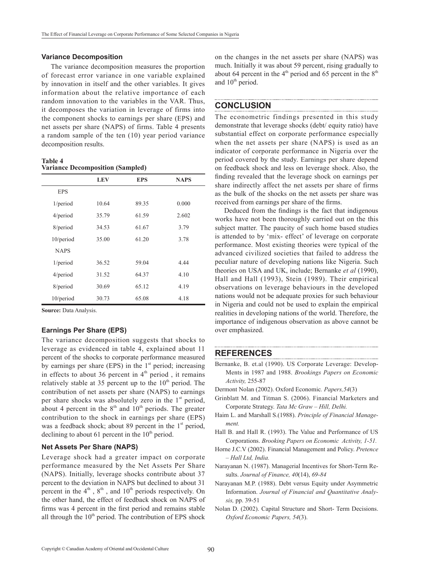#### **Variance Decomposition**

The variance decomposition measures the proportion of forecast error variance in one variable explained by innovation in itself and the other variables. It gives information about the relative importance of each random innovation to the variables in the VAR. Thus, it decomposes the variation in leverage of firms into the component shocks to earnings per share (EPS) and net assets per share (NAPS) of firms. Table 4 presents a random sample of the ten (10) year period variance decomposition results.

**Table 4 Variance Decomposition (Sampled)**

|              | <b>LEV</b> | <b>EPS</b> | <b>NAPS</b> |
|--------------|------------|------------|-------------|
| <b>EPS</b>   |            |            |             |
| 1/period     | 10.64      | 89.35      | 0.000       |
| $4$ /period  | 35.79      | 61.59      | 2.602       |
| 8/period     | 34.53      | 61.67      | 3.79        |
| $10$ /period | 35.00      | 61.20      | 3.78        |
| <b>NAPS</b>  |            |            |             |
| 1/period     | 36.52      | 59.04      | 4.44        |
| $4$ /period  | 31.52      | 64.37      | 4.10        |
| 8/period     | 30.69      | 65.12      | 4.19        |
| $10$ /period | 30.73      | 65.08      | 4.18        |

**Source:** Data Analysis.

### **Earnings Per Share (EPS)**

The variance decomposition suggests that shocks to leverage as evidenced in table 4, explained about 11 percent of the shocks to corporate performance measured by earnings per share (EPS) in the  $1<sup>st</sup>$  period; increasing in effects to about 36 percent in  $4<sup>th</sup>$  period, it remains relatively stable at 35 percent up to the  $10<sup>th</sup>$  period. The contribution of net assets per share (NAPS) to earnings per share shocks was absolutely zero in the  $1<sup>st</sup>$  period, about 4 percent in the  $8<sup>th</sup>$  and  $10<sup>th</sup>$  periods. The greater contribution to the shock in earnings per share (EPS) was a feedback shock; about 89 percent in the  $1<sup>st</sup>$  period, declining to about 61 percent in the  $10<sup>th</sup>$  period.

### **Net Assets Per Share (NAPS)**

Leverage shock had a greater impact on corporate performance measured by the Net Assets Per Share (NAPS). Initially, leverage shocks contribute about 37 percent to the deviation in NAPS but declined to about 31 percent in the  $4<sup>th</sup>$ ,  $8<sup>th</sup>$ , and  $10<sup>th</sup>$  periods respectively. On the other hand, the effect of feedback shock on NAPS of firms was 4 percent in the first period and remains stable all through the  $10<sup>th</sup>$  period. The contribution of EPS shock

on the changes in the net assets per share (NAPS) was much. Initially it was about 59 percent, rising gradually to about 64 percent in the  $4<sup>th</sup>$  period and 65 percent in the  $8<sup>th</sup>$ and  $10<sup>th</sup>$  period.

### **CONCLUSION**

The econometric findings presented in this study demonstrate that leverage shocks (debt/ equity ratio) have substantial effect on corporate performance especially when the net assets per share (NAPS) is used as an indicator of corporate performance in Nigeria over the period covered by the study. Earnings per share depend on feedback shock and less on leverage shock. Also, the finding revealed that the leverage shock on earnings per share indirectly affect the net assets per share of firms as the bulk of the shocks on the net assets per share was received from earnings per share of the firms.

Deduced from the findings is the fact that indigenous works have not been thoroughly carried out on the this subject matter. The paucity of such home based studies is attended to by 'mix- effect' of leverage on corporate performance. Most existing theories were typical of the advanced civilized societies that failed to address the peculiar nature of developing nations like Nigeria. Such theories on USA and UK, include; Bernanke *et al* (1990), Hall and Hall (1993), Stein (1989). Their empirical observations on leverage behaviours in the developed nations would not be adequate proxies for such behaviour in Nigeria and could not be used to explain the empirical realities in developing nations of the world. Therefore, the importance of indigenous observation as above cannot be over emphasized.

## **REFERENCES**

- Bernanke, B. et.al (1990). US Corporate Leverage: Developments in 1987 and 1988. *Brookings Papers on Economic Activity,* 255-87
- Dermont Nolan (2002). Oxford Economic*. Papers,54*(3)
- Grinblatt M. and Titman S. (2006). Financial Marketers and Corporate Strategy. *Tata Mc Graw – Hill, Delhi.*
- Haim L. and Marshall S.(1988). *Principle of Financial Management.*
- Hall B. and Hall R. (1993). The Value and Performance of US Corporations. *Brooking Papers on Economic Activity, 1-51.*
- Horne J.C.V (2002). Financial Management and Policy. *Pretence – Hall Ltd, India.*
- Narayanan N. (1987). Managerial Incentives for Short-Term Results. *Journal of Finance, 40*(14), *69-84*
- Narayanan M.P. (1988). Debt versus Equity under Asymmetric Information. *Journal of Financial and Quantitative Analysis,* pp. 39-51
- Nolan D. (2002). Capital Structure and Short- Term Decisions. *Oxford Economic Papers, 54*(3).